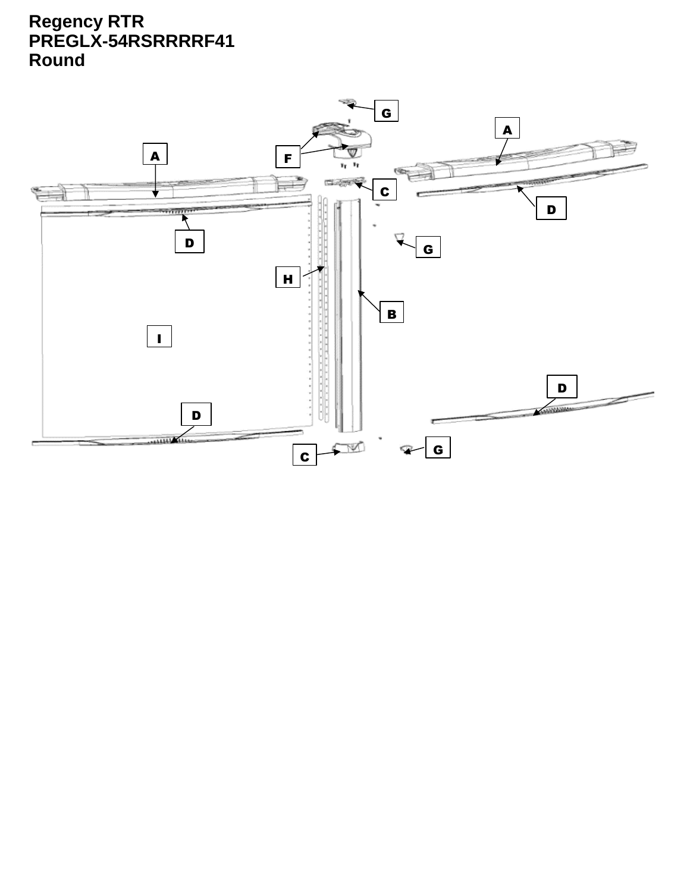## **Regency RTR PREGLX-54RSRRRRF41 Round**

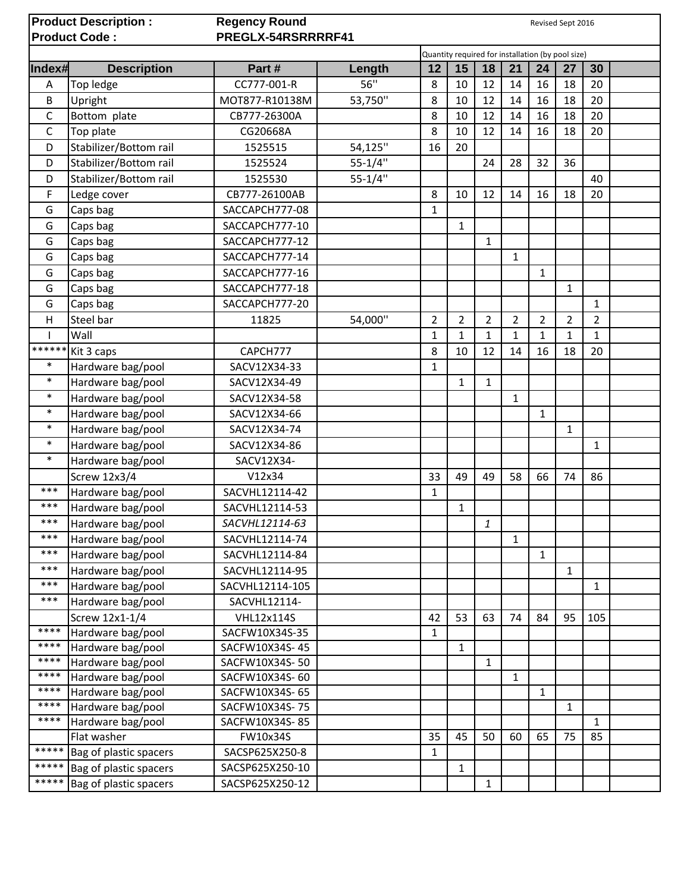| <b>Product Description:</b><br><b>Product Code:</b> |                        | <b>Regency Round</b><br>Revised Sept 2016<br>PREGLX-54RSRRRRF41 |             |                |                |                |                |                |                |                |  |
|-----------------------------------------------------|------------------------|-----------------------------------------------------------------|-------------|----------------|----------------|----------------|----------------|----------------|----------------|----------------|--|
|                                                     |                        | Quantity required for installation (by pool size)               |             |                |                |                |                |                |                |                |  |
| Index#                                              | <b>Description</b>     | Part#                                                           | Length      | 12             | 15             | 18             | 21             | 24             | 27             | 30             |  |
| Α                                                   | Top ledge              | CC777-001-R                                                     | 56"         | 8              | 10             | 12             | 14             | 16             | 18             | 20             |  |
| B                                                   | Upright                | MOT877-R10138M                                                  | 53,750"     | 8              | 10             | 12             | 14             | 16             | 18             | 20             |  |
| C                                                   | Bottom plate           | CB777-26300A                                                    |             | 8              | 10             | 12             | 14             | 16             | 18             | 20             |  |
| $\mathsf C$                                         | Top plate              | CG20668A                                                        |             | 8              | 10             | 12             | 14             | 16             | 18             | 20             |  |
| D                                                   | Stabilizer/Bottom rail | 1525515                                                         | 54,125"     | 16             | 20             |                |                |                |                |                |  |
| D                                                   | Stabilizer/Bottom rail | 1525524                                                         | $55 - 1/4"$ |                |                | 24             | 28             | 32             | 36             |                |  |
| D                                                   | Stabilizer/Bottom rail | 1525530                                                         | $55 - 1/4"$ |                |                |                |                |                |                | 40             |  |
| F                                                   | Ledge cover            | CB777-26100AB                                                   |             | 8              | 10             | 12             | 14             | 16             | 18             | 20             |  |
| G                                                   | Caps bag               | SACCAPCH777-08                                                  |             | $\mathbf{1}$   |                |                |                |                |                |                |  |
| G                                                   | Caps bag               | SACCAPCH777-10                                                  |             |                | $\mathbf{1}$   |                |                |                |                |                |  |
| G                                                   | Caps bag               | SACCAPCH777-12                                                  |             |                |                | 1              |                |                |                |                |  |
| G                                                   | Caps bag               | SACCAPCH777-14                                                  |             |                |                |                | 1              |                |                |                |  |
| G                                                   | Caps bag               | SACCAPCH777-16                                                  |             |                |                |                |                | $\mathbf{1}$   |                |                |  |
| G                                                   | Caps bag               | SACCAPCH777-18                                                  |             |                |                |                |                |                | $\mathbf{1}$   |                |  |
| G                                                   | Caps bag               | SACCAPCH777-20                                                  |             |                |                |                |                |                |                | 1              |  |
| Н                                                   | Steel bar              | 11825                                                           | 54,000"     | $\overline{2}$ | $\overline{2}$ | $\overline{2}$ | $\overline{2}$ | $\overline{2}$ | $\overline{2}$ | $\overline{2}$ |  |
|                                                     | Wall                   |                                                                 |             | $\mathbf{1}$   | $\mathbf{1}$   | $\mathbf{1}$   | $\mathbf{1}$   | $\mathbf{1}$   | $\mathbf{1}$   | $\mathbf{1}$   |  |
| ******                                              | Kit 3 caps             | CAPCH777                                                        |             | 8              | 10             | 12             | 14             | 16             | 18             | 20             |  |
| $\ast$                                              | Hardware bag/pool      | SACV12X34-33                                                    |             | $\mathbf{1}$   |                |                |                |                |                |                |  |
| $\ast$                                              | Hardware bag/pool      | SACV12X34-49                                                    |             |                | $\mathbf{1}$   | $\mathbf{1}$   |                |                |                |                |  |
| $\ast$                                              | Hardware bag/pool      | SACV12X34-58                                                    |             |                |                |                | 1              |                |                |                |  |
| $\ast$                                              | Hardware bag/pool      | SACV12X34-66                                                    |             |                |                |                |                | $\mathbf{1}$   |                |                |  |
| $\ast$                                              | Hardware bag/pool      | SACV12X34-74                                                    |             |                |                |                |                |                | $\mathbf{1}$   |                |  |
| $\ast$                                              | Hardware bag/pool      | SACV12X34-86                                                    |             |                |                |                |                |                |                | 1              |  |
| $\ast$                                              | Hardware bag/pool      | SACV12X34-                                                      |             |                |                |                |                |                |                |                |  |
|                                                     | <b>Screw 12x3/4</b>    | V12x34                                                          |             | 33             | 49             | 49             | 58             | 66             | 74             | 86             |  |
| ***                                                 | Hardware bag/pool      | SACVHL12114-42                                                  |             | 1              |                |                |                |                |                |                |  |
| ***                                                 | Hardware bag/pool      | SACVHL12114-53                                                  |             |                | 1              |                |                |                |                |                |  |
| ***                                                 | Hardware bag/pool      | SACVHL12114-63                                                  |             |                |                | 1              |                |                |                |                |  |
| ***                                                 | Hardware bag/pool      | SACVHL12114-74                                                  |             |                |                |                | $\mathbf{1}$   |                |                |                |  |
| ***                                                 | Hardware bag/pool      | SACVHL12114-84                                                  |             |                |                |                |                | $\mathbf{1}$   |                |                |  |
| $***$                                               | Hardware bag/pool      | SACVHL12114-95                                                  |             |                |                |                |                |                | $\mathbf{1}$   |                |  |
| ***                                                 | Hardware bag/pool      | SACVHL12114-105                                                 |             |                |                |                |                |                |                | 1              |  |
| ***                                                 | Hardware bag/pool      | SACVHL12114-                                                    |             |                |                |                |                |                |                |                |  |
|                                                     | Screw 12x1-1/4         | <b>VHL12x114S</b>                                               |             | 42             | 53             | 63             | 74             | 84             | 95             | 105            |  |
| ****                                                | Hardware bag/pool      | SACFW10X34S-35                                                  |             | $\mathbf{1}$   |                |                |                |                |                |                |  |
| ****                                                | Hardware bag/pool      | SACFW10X34S-45                                                  |             |                | $\mathbf{1}$   |                |                |                |                |                |  |
| ****                                                | Hardware bag/pool      | SACFW10X34S-50                                                  |             |                |                | $\mathbf{1}$   |                |                |                |                |  |
| ****                                                | Hardware bag/pool      | SACFW10X34S-60                                                  |             |                |                |                | $\mathbf{1}$   |                |                |                |  |
| ****                                                | Hardware bag/pool      | SACFW10X34S-65                                                  |             |                |                |                |                | $\mathbf{1}$   |                |                |  |
| ****                                                | Hardware bag/pool      | SACFW10X34S-75                                                  |             |                |                |                |                |                | $\mathbf{1}$   |                |  |
| ****                                                | Hardware bag/pool      | SACFW10X34S-85                                                  |             |                |                |                |                |                |                | 1              |  |
|                                                     | Flat washer            | FW10x34S                                                        |             | 35             | 45             | 50             | 60             | 65             | 75             | 85             |  |
| *****                                               | Bag of plastic spacers | SACSP625X250-8                                                  |             | $\mathbf{1}$   |                |                |                |                |                |                |  |
| *****                                               | Bag of plastic spacers | SACSP625X250-10                                                 |             |                | $\mathbf{1}$   |                |                |                |                |                |  |
| *****                                               | Bag of plastic spacers | SACSP625X250-12                                                 |             |                |                | 1              |                |                |                |                |  |